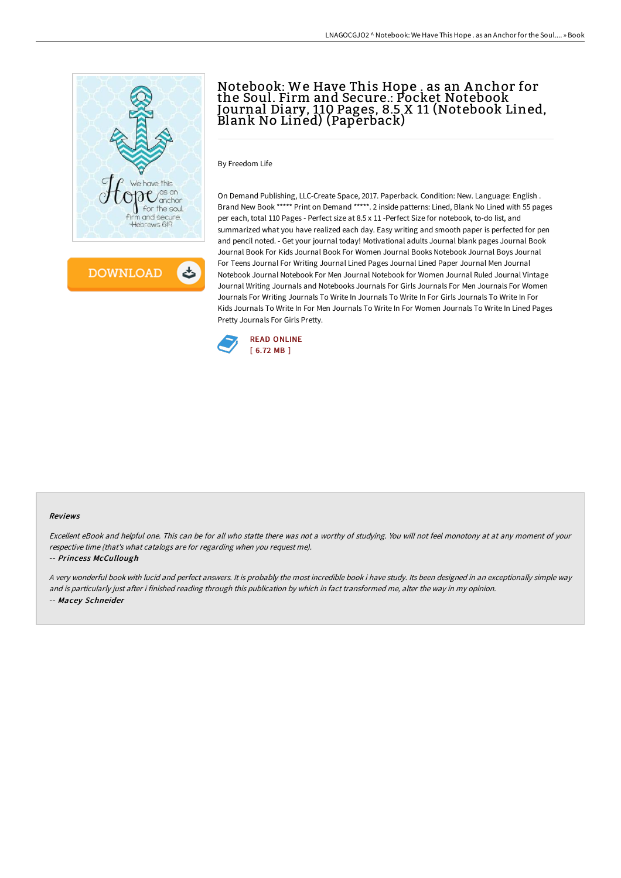

**DOWNLOAD** 

# Notebook: We Have This Hope . as an A nchor for the Soul. Firm and Secure.: Pocket Notebook Journal Diary, 110 Pages, 8.5 X 11 (Notebook Lined, Blank No Lined) (Paperback)

By Freedom Life

On Demand Publishing, LLC-Create Space, 2017. Paperback. Condition: New. Language: English . Brand New Book \*\*\*\*\* Print on Demand \*\*\*\*\*. 2 inside patterns: Lined, Blank No Lined with 55 pages per each, total 110 Pages - Perfect size at 8.5 x 11 -Perfect Size for notebook, to-do list, and summarized what you have realized each day. Easy writing and smooth paper is perfected for pen and pencil noted. - Get your journal today! Motivational adults Journal blank pages Journal Book Journal Book For Kids Journal Book For Women Journal Books Notebook Journal Boys Journal For Teens Journal For Writing Journal Lined Pages Journal Lined Paper Journal Men Journal Notebook Journal Notebook For Men Journal Notebook for Women Journal Ruled Journal Vintage Journal Writing Journals and Notebooks Journals For Girls Journals For Men Journals For Women Journals For Writing Journals To Write In Journals To Write In For Girls Journals To Write In For Kids Journals To Write In For Men Journals To Write In For Women Journals To Write In Lined Pages Pretty Journals For Girls Pretty.



#### Reviews

Excellent eBook and helpful one. This can be for all who statte there was not <sup>a</sup> worthy of studying. You will not feel monotony at at any moment of your respective time (that's what catalogs are for regarding when you request me).

### -- Princess McCullough

<sup>A</sup> very wonderful book with lucid and perfect answers. It is probably the most incredible book i have study. Its been designed in an exceptionally simple way and is particularly just after i finished reading through this publication by which in fact transformed me, alter the way in my opinion. -- Macey Schneider